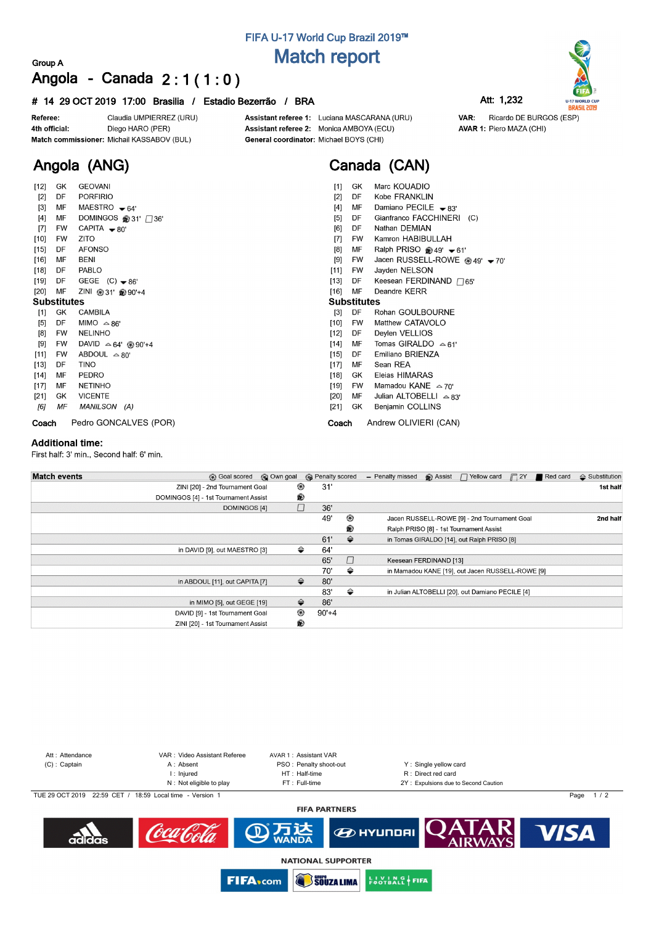# **FIFA U-17 World Cup Brazil 2019™ Match report**

### **Group A Angola - Canada 2 : 1 ( 1 : 0 )**

### **# 14 29 OCT 2019 17:00 Brasilia / Estadio Bezerrão / BRA Att: 1,232**

Claudia UMPIERREZ (URU) Referee: 4th official: Diego HARO (PER) Match commissioner: Michail KASSABOV (BUL)

**Angola (ANG)**

Assistant referee 1: Luciana MASCARANA (URU) Assistant referee 2: Monica AMBOYA (ECU) General coordinator: Michael BOYS (CHI)

# **Canada (CAN)**

VAR:

| $[12]$             | GK        | <b>GEOVANI</b>                       | Marc KOUADIO<br>$[1]$<br>GK                              |
|--------------------|-----------|--------------------------------------|----------------------------------------------------------|
| $[2]$              | DF        | <b>PORFIRIO</b>                      | Kobe FRANKLIN<br>$[2]$<br>DF                             |
| $[3]$              | MF        | MAESTRO $\div 64'$                   | Damiano PECILE $\bullet$ 83'<br>$[4]$<br>MF              |
| $[4]$              | MF        | DOMINGOS @31' □36'                   | $[5]$<br>Gianfranco FACCHINERI (C)<br>DF                 |
| $[7]$              | FW        | CAPITA $\rightarrow$ 80'             | Nathan DEMIAN<br>[6]<br>DF                               |
| $[10]$             | <b>FW</b> | <b>ZITO</b>                          | $[7]$<br>Kamron HABIBULLAH<br><b>FW</b>                  |
| $[15]$             | DF        | <b>AFONSO</b>                        | Ralph PRISO @ 49' $\blacktriangleright$ 61'<br>[8]<br>МF |
| $[16]$             | MF        | BENI                                 | Jacen RUSSELL-ROWE @ 49' - 70'<br>[9]<br>FW              |
| [18]               | DF        | PABLO                                | $[11]$<br>Jayden NELSON<br>FW.                           |
| [19]               | DF        | GEGE $(C)$ $\blacktriangleright$ 86' | Keesean FERDINAND $\Box$ 65'<br>$[13]$<br>DF             |
| [20]               | MF        | ZINI ⑧ 31' 90'+4                     | $[16]$<br>MF<br>Deandre KERR                             |
| <b>Substitutes</b> |           |                                      | <b>Substitutes</b>                                       |
| $[1]$              | GK        | CAMBILA                              | DF<br>$[3]$<br>Rohan GOULBOURNE                          |
| $[5]$              | DF        | MIMO $\triangle 86'$                 | Matthew CATAVOLO<br>$[10]$<br><b>FW</b>                  |
| [8]                | <b>FW</b> | <b>NELINHO</b>                       | Deylen VELLIOS<br>$[12]$<br>DF                           |
| [9]                | FW        | DAVID $\triangle 64'$ @ 90'+4        | Tomas GIRALDO $\approx 61'$<br>$[14]$<br>MF              |
| $[11]$             | FW        | ABDOUL $\triangle 80'$               | Emiliano BRIENZA<br>$[15]$<br>DF                         |
| $[13]$             | DF        | TINO                                 | Sean REA<br>$[17]$<br>MF                                 |
| [14]               | MF        | PEDRO                                | Eleias HIMARAS<br>$[18]$<br>GK                           |
| $[17]$             | MF        | <b>NETINHO</b>                       | Mamadou KANE $\approx$ 70'<br>$[19]$<br>FW.              |
| [21]               | GK        | <b>VICENTE</b>                       | Julian ALTOBELLI $\triangle$ 83'<br>$[20]$<br>MF         |
| [6]                | ΜF        | MANILSON (A)                         | $[21]$<br>Benjamin COLLINS<br>GK.                        |
| Coach              |           | Pedro GONCALVES (POR)                | Andrew OLIVIERI (CAN)<br>Coach                           |

#### **Additional time:**

First half: 3' min., Second half: 6' min.

| <b>Match events</b> | <b>B</b> Goal scored <b>C</b> Own goal |   | <b>B</b> Penalty scored |               | - Penalty missed       | $\bigcirc$ Assist $\bigcap$ Yellow card $\bigcap$ 2Y | Red card | $\triangle$ Substitution |
|---------------------|----------------------------------------|---|-------------------------|---------------|------------------------|------------------------------------------------------|----------|--------------------------|
|                     | ZINI [20] - 2nd Tournament Goal        |   | 31'<br>⊛                |               |                        |                                                      |          | 1st half                 |
|                     | DOMINGOS [4] - 1st Tournament Assist   | ® |                         |               |                        |                                                      |          |                          |
|                     | <b>DOMINGOS [4]</b>                    |   | П<br>36'                |               |                        |                                                      |          |                          |
|                     |                                        |   | 49'                     | ⊛             |                        | Jacen RUSSELL-ROWE [9] - 2nd Tournament Goal         |          | 2nd half                 |
|                     |                                        |   |                         | ®             |                        | Ralph PRISO [8] - 1st Tournament Assist              |          |                          |
|                     |                                        |   | 61'                     | $\Rightarrow$ |                        | in Tomas GIRALDO [14], out Ralph PRISO [8]           |          |                          |
|                     | in DAVID [9], out MAESTRO [3]          |   | ⇔<br>64'                |               |                        |                                                      |          |                          |
|                     |                                        |   | 65'                     | $\Box$        | Keesean FERDINAND [13] |                                                      |          |                          |
|                     |                                        |   | 70'                     | ⇔             |                        | in Mamadou KANE [19], out Jacen RUSSELL-ROWE [9]     |          |                          |
|                     | in ABDOUL [11], out CAPITA [7]         |   | ⇔<br>80'                |               |                        |                                                      |          |                          |
|                     |                                        |   | 83'                     | ⇔             |                        | in Julian ALTOBELLI [20], out Damiano PECILE [4]     |          |                          |
|                     | in MIMO [5], out GEGE [19]             |   | ⇔<br>86'                |               |                        |                                                      |          |                          |
|                     | DAVID [9] - 1st Tournament Goal        | ⊛ | $90'+4$                 |               |                        |                                                      |          |                          |
|                     | ZINI [20] - 1st Tournament Assist      | ® |                         |               |                        |                                                      |          |                          |





Ricardo DE BURGOS (ESP)

AVAR 1: Piero MAZA (CHI)